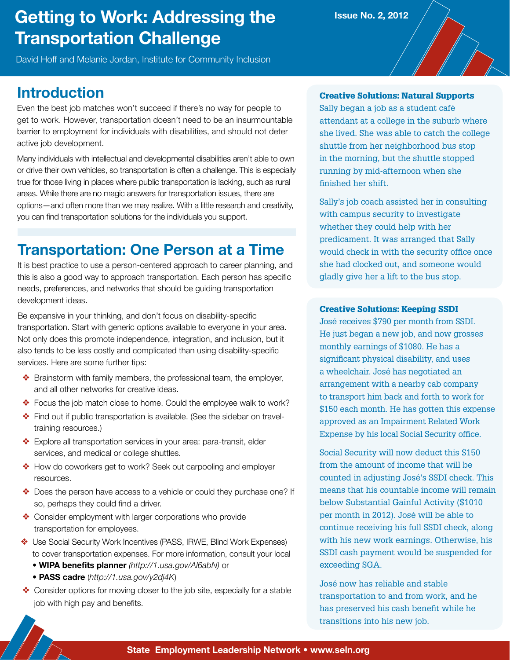# **Getting to Work: Addressing the Transportation Challenge**

David Hoff and Melanie Jordan, Institute for Community Inclusion

## **Introduction**

Even the best job matches won't succeed if there's no way for people to get to work. However, transportation doesn't need to be an insurmountable barrier to employment for individuals with disabilities, and should not deter active job development.

Many individuals with intellectual and developmental disabilities aren't able to own or drive their own vehicles, so transportation is often a challenge. This is especially true for those living in places where public transportation is lacking, such as rural areas. While there are no magic answers for transportation issues, there are options—and often more than we may realize. With a little research and creativity, you can find transportation solutions for the individuals you support.

## **Transportation: One Person at a Time**

It is best practice to use a person-centered approach to career planning, and this is also a good way to approach transportation. Each person has specific needs, preferences, and networks that should be guiding transportation development ideas.

Be expansive in your thinking, and don't focus on disability-specific transportation. Start with generic options available to everyone in your area. Not only does this promote independence, integration, and inclusion, but it also tends to be less costly and complicated than using disability-specific services. Here are some further tips:

- ❖ Brainstorm with family members, the professional team, the employer, and all other networks for creative ideas.
- ❖ Focus the job match close to home. Could the employee walk to work?
- ❖ Find out if public transportation is available. (See the sidebar on traveltraining resources.)
- ❖ Explore all transportation services in your area: para-transit, elder services, and medical or college shuttles.
- ❖ How do coworkers get to work? Seek out carpooling and employer resources.
- ❖ Does the person have access to a vehicle or could they purchase one? If so, perhaps they could find a driver.
- ❖ Consider employment with larger corporations who provide transportation for employees.
- ❖ Use Social Security Work Incentives (PASS, IRWE, Blind Work Expenses) to cover transportation expenses. For more information, consult your local
	- **WIPA benefits planner** *(http://1.usa.gov/Al6abN)* or
	- **PASS cadre** (*http://1.usa.gov/y2dj4K*)
- ❖ Consider options for moving closer to the job site, especially for a stable job with high pay and benefits.

### Creative Solutions: Natural Supports

**Issue No. 2, 2012**

Sally began a job as a student café attendant at a college in the suburb where she lived. She was able to catch the college shuttle from her neighborhood bus stop in the morning, but the shuttle stopped running by mid-afternoon when she finished her shift.

Sally's job coach assisted her in consulting with campus security to investigate whether they could help with her predicament. It was arranged that Sally would check in with the security office once she had clocked out, and someone would gladly give her a lift to the bus stop.

#### Creative Solutions: Keeping SSDI

José receives \$790 per month from SSDI. He just began a new job, and now grosses monthly earnings of \$1080. He has a significant physical disability, and uses a wheelchair. José has negotiated an arrangement with a nearby cab company to transport him back and forth to work for \$150 each month. He has gotten this expense approved as an Impairment Related Work Expense by his local Social Security office.

Social Security will now deduct this \$150 from the amount of income that will be counted in adjusting José's SSDI check. This means that his countable income will remain below Substantial Gainful Activity (\$1010 per month in 2012). José will be able to continue receiving his full SSDI check, along with his new work earnings. Otherwise, his SSDI cash payment would be suspended for exceeding SGA.

José now has reliable and stable transportation to and from work, and he has preserved his cash benefit while he transitions into his new job.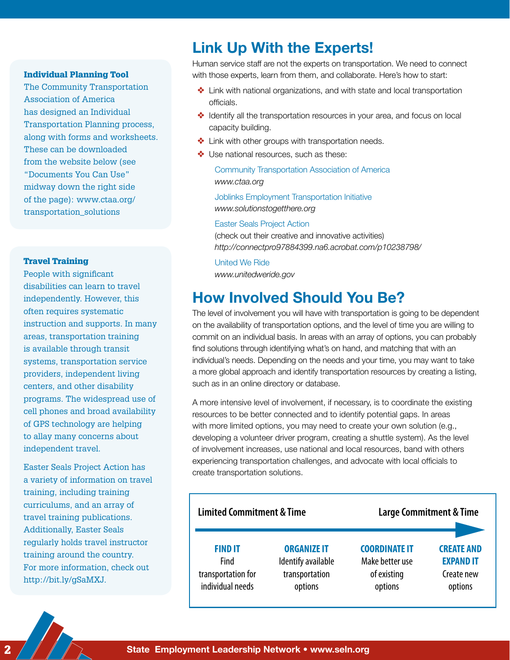#### Individual Planning Tool

The Community Transportation Association of America has designed an Individual Transportation Planning process, along with forms and worksheets. These can be downloaded from the website below (see "Documents You Can Use" midway down the right side of the page): www.ctaa.org/ transportation\_solutions

#### Travel Training

People with significant disabilities can learn to travel independently. However, this often requires systematic instruction and supports. In many areas, transportation training is available through transit systems, transportation service providers, independent living centers, and other disability programs. The widespread use of cell phones and broad availability of GPS technology are helping to allay many concerns about independent travel.

Easter Seals Project Action has a variety of information on travel training, including training curriculums, and an array of travel training publications. Additionally, Easter Seals regularly holds travel instructor training around the country. For more information, check out http://bit.ly/gSaMXJ.

### **Link Up With the Experts!**

Human service staff are not the experts on transportation. We need to connect with those experts, learn from them, and collaborate. Here's how to start:

- ❖ Link with national organizations, and with state and local transportation officials.
- ❖ Identify all the transportation resources in your area, and focus on local capacity building.
- ❖ Link with other groups with transportation needs.
- ❖ Use national resources, such as these:

Community Transportation Association of America *www.ctaa.org*

Joblinks Employment Transportation Initiative *www.solutionstogetthere.org*

#### Easter Seals Project Action

(check out their creative and innovative activities) *http://connectpro97884399.na6.acrobat.com/p10238798/*

United We Ride *www.unitedweride.gov*

### **How Involved Should You Be?**

The level of involvement you will have with transportation is going to be dependent on the availability of transportation options, and the level of time you are willing to commit on an individual basis. In areas with an array of options, you can probably find solutions through identifying what's on hand, and matching that with an individual's needs. Depending on the needs and your time, you may want to take a more global approach and identify transportation resources by creating a listing, such as in an online directory or database.

A more intensive level of involvement, if necessary, is to coordinate the existing resources to be better connected and to identify potential gaps. In areas with more limited options, you may need to create your own solution (e.g., developing a volunteer driver program, creating a shuttle system). As the level of involvement increases, use national and local resources, band with others experiencing transportation challenges, and advocate with local officials to create transportation solutions.

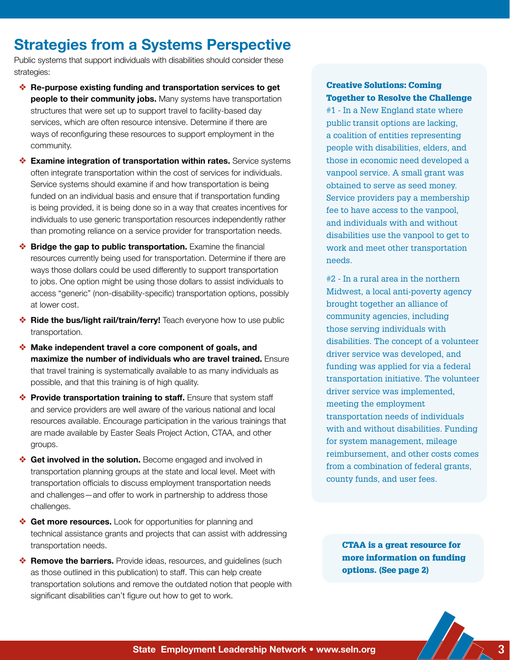### **Strategies from a Systems Perspective**

Public systems that support individuals with disabilities should consider these strategies:

- ❖ **Re-purpose existing funding and transportation services to get people to their community jobs.** Many systems have transportation structures that were set up to support travel to facility-based day services, which are often resource intensive. Determine if there are ways of reconfiguring these resources to support employment in the community.
- ❖ **Examine integration of transportation within rates.** Service systems often integrate transportation within the cost of services for individuals. Service systems should examine if and how transportation is being funded on an individual basis and ensure that if transportation funding is being provided, it is being done so in a way that creates incentives for individuals to use generic transportation resources independently rather than promoting reliance on a service provider for transportation needs.
- ❖ **Bridge the gap to public transportation.** Examine the financial resources currently being used for transportation. Determine if there are ways those dollars could be used differently to support transportation to jobs. One option might be using those dollars to assist individuals to access "generic" (non-disability-specific) transportation options, possibly at lower cost.
- ❖ **Ride the bus/light rail/train/ferry!** Teach everyone how to use public transportation.
- ❖ **Make independent travel a core component of goals, and maximize the number of individuals who are travel trained.** Ensure that travel training is systematically available to as many individuals as possible, and that this training is of high quality.
- ❖ **Provide transportation training to staff.** Ensure that system staff and service providers are well aware of the various national and local resources available. Encourage participation in the various trainings that are made available by Easter Seals Project Action, CTAA, and other groups.
- ❖ **Get involved in the solution.** Become engaged and involved in transportation planning groups at the state and local level. Meet with transportation officials to discuss employment transportation needs and challenges—and offer to work in partnership to address those challenges.
- ❖ **Get more resources.** Look for opportunities for planning and technical assistance grants and projects that can assist with addressing transportation needs.
- ❖ **Remove the barriers.** Provide ideas, resources, and guidelines (such as those outlined in this publication) to staff. This can help create transportation solutions and remove the outdated notion that people with significant disabilities can't figure out how to get to work.

### Creative Solutions: Coming Together to Resolve the Challenge

#1 - In a New England state where public transit options are lacking, a coalition of entities representing people with disabilities, elders, and those in economic need developed a vanpool service. A small grant was obtained to serve as seed money. Service providers pay a membership fee to have access to the vanpool, and individuals with and without disabilities use the vanpool to get to work and meet other transportation needs.

#2 - In a rural area in the northern Midwest, a local anti-poverty agency brought together an alliance of community agencies, including those serving individuals with disabilities. The concept of a volunteer driver service was developed, and funding was applied for via a federal transportation initiative. The volunteer driver service was implemented, meeting the employment transportation needs of individuals with and without disabilities. Funding for system management, mileage reimbursement, and other costs comes from a combination of federal grants, county funds, and user fees.

CTAA is a great resource for more information on funding options. (See page 2)